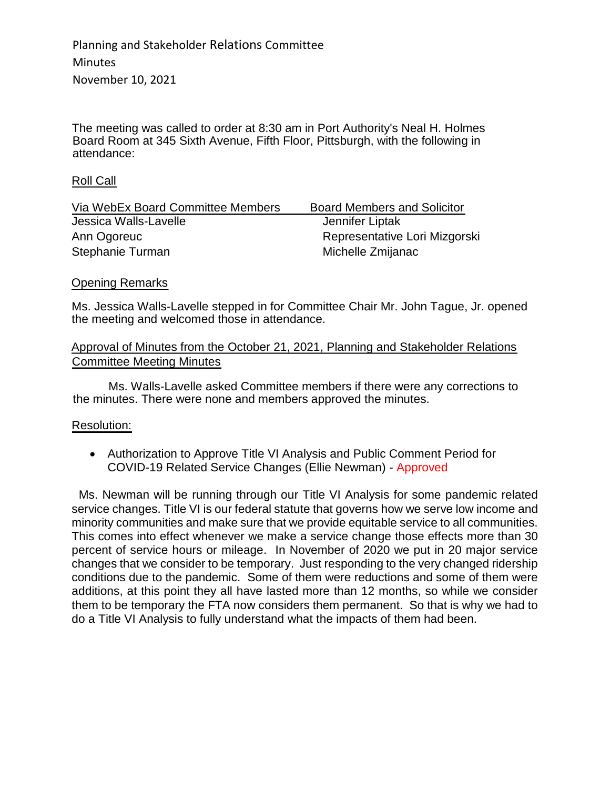Planning and Stakeholder Relations Committee **Minutes** November 10, 2021

The meeting was called to order at 8:30 am in Port Authority's Neal H. Holmes Board Room at 345 Sixth Avenue, Fifth Floor, Pittsburgh, with the following in attendance:

### Roll Call

| Via WebEx Board Committee Members | <b>Board Members and Solicitor</b> |
|-----------------------------------|------------------------------------|
| Jessica Walls-Lavelle             | Jennifer Liptak                    |
| Ann Ogoreuc                       | Representative Lori Mizgorski      |
| Stephanie Turman                  | Michelle Zmijanac                  |

## Opening Remarks

Ms. Jessica Walls-Lavelle stepped in for Committee Chair Mr. John Tague, Jr. opened the meeting and welcomed those in attendance.

## Approval of Minutes from the October 21, 2021, Planning and Stakeholder Relations Committee Meeting Minutes

Ms. Walls-Lavelle asked Committee members if there were any corrections to the minutes. There were none and members approved the minutes.

## Resolution:

 Authorization to Approve Title VI Analysis and Public Comment Period for COVID-19 Related Service Changes (Ellie Newman) - Approved

Ms. Newman will be running through our Title VI Analysis for some pandemic related service changes. Title VI is our federal statute that governs how we serve low income and minority communities and make sure that we provide equitable service to all communities. This comes into effect whenever we make a service change those effects more than 30 percent of service hours or mileage. In November of 2020 we put in 20 major service changes that we consider to be temporary. Just responding to the very changed ridership conditions due to the pandemic. Some of them were reductions and some of them were additions, at this point they all have lasted more than 12 months, so while we consider them to be temporary the FTA now considers them permanent. So that is why we had to do a Title VI Analysis to fully understand what the impacts of them had been.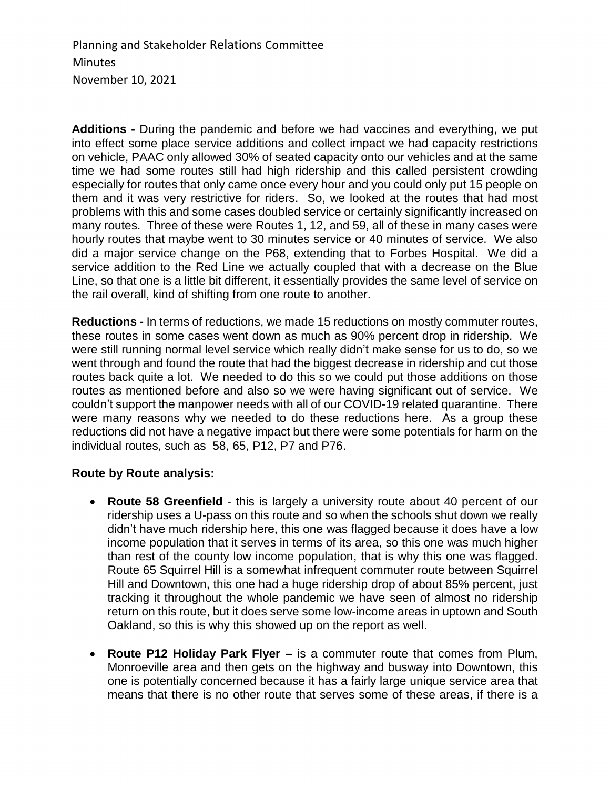Planning and Stakeholder Relations Committee **Minutes** November 10, 2021

**Additions -** During the pandemic and before we had vaccines and everything, we put into effect some place service additions and collect impact we had capacity restrictions on vehicle, PAAC only allowed 30% of seated capacity onto our vehicles and at the same time we had some routes still had high ridership and this called persistent crowding especially for routes that only came once every hour and you could only put 15 people on them and it was very restrictive for riders. So, we looked at the routes that had most problems with this and some cases doubled service or certainly significantly increased on many routes. Three of these were Routes 1, 12, and 59, all of these in many cases were hourly routes that maybe went to 30 minutes service or 40 minutes of service. We also did a major service change on the P68, extending that to Forbes Hospital. We did a service addition to the Red Line we actually coupled that with a decrease on the Blue Line, so that one is a little bit different, it essentially provides the same level of service on the rail overall, kind of shifting from one route to another.

**Reductions -** In terms of reductions, we made 15 reductions on mostly commuter routes, these routes in some cases went down as much as 90% percent drop in ridership. We were still running normal level service which really didn't make sense for us to do, so we went through and found the route that had the biggest decrease in ridership and cut those routes back quite a lot. We needed to do this so we could put those additions on those routes as mentioned before and also so we were having significant out of service. We couldn't support the manpower needs with all of our COVID-19 related quarantine. There were many reasons why we needed to do these reductions here. As a group these reductions did not have a negative impact but there were some potentials for harm on the individual routes, such as 58, 65, P12, P7 and P76.

## **Route by Route analysis:**

- **Route 58 Greenfield** this is largely a university route about 40 percent of our ridership uses a U-pass on this route and so when the schools shut down we really didn't have much ridership here, this one was flagged because it does have a low income population that it serves in terms of its area, so this one was much higher than rest of the county low income population, that is why this one was flagged. Route 65 Squirrel Hill is a somewhat infrequent commuter route between Squirrel Hill and Downtown, this one had a huge ridership drop of about 85% percent, just tracking it throughout the whole pandemic we have seen of almost no ridership return on this route, but it does serve some low-income areas in uptown and South Oakland, so this is why this showed up on the report as well.
- **Route P12 Holiday Park Flyer –** is a commuter route that comes from Plum, Monroeville area and then gets on the highway and busway into Downtown, this one is potentially concerned because it has a fairly large unique service area that means that there is no other route that serves some of these areas, if there is a